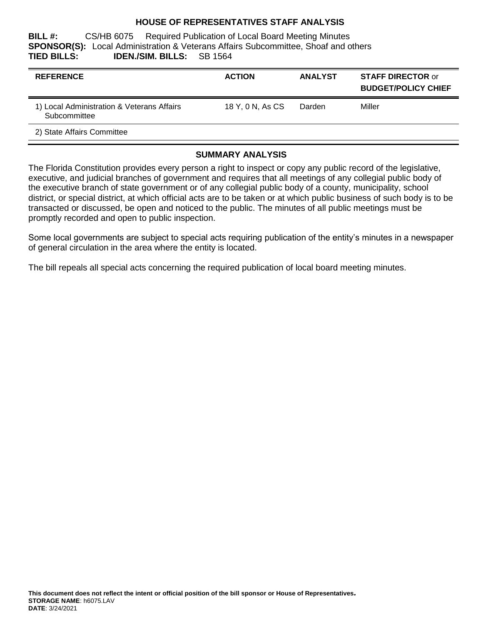#### **HOUSE OF REPRESENTATIVES STAFF ANALYSIS**

**BILL #:** CS/HB 6075 Required Publication of Local Board Meeting Minutes **SPONSOR(S):** Local Administration & Veterans Affairs Subcommittee, Shoaf and others **TIED BILLS: IDEN./SIM. BILLS:** SB 1564

| <b>REFERENCE</b>                                           | <b>ACTION</b>    | <b>ANALYST</b> | <b>STAFF DIRECTOR or</b><br><b>BUDGET/POLICY CHIEF</b> |
|------------------------------------------------------------|------------------|----------------|--------------------------------------------------------|
| 1) Local Administration & Veterans Affairs<br>Subcommittee | 18 Y. 0 N. As CS | Darden         | Miller                                                 |
| 2) State Affairs Committee                                 |                  |                |                                                        |

#### **SUMMARY ANALYSIS**

The Florida Constitution provides every person a right to inspect or copy any public record of the legislative, executive, and judicial branches of government and requires that all meetings of any collegial public body of the executive branch of state government or of any collegial public body of a county, municipality, school district, or special district, at which official acts are to be taken or at which public business of such body is to be transacted or discussed, be open and noticed to the public. The minutes of all public meetings must be promptly recorded and open to public inspection.

Some local governments are subject to special acts requiring publication of the entity's minutes in a newspaper of general circulation in the area where the entity is located.

The bill repeals all special acts concerning the required publication of local board meeting minutes.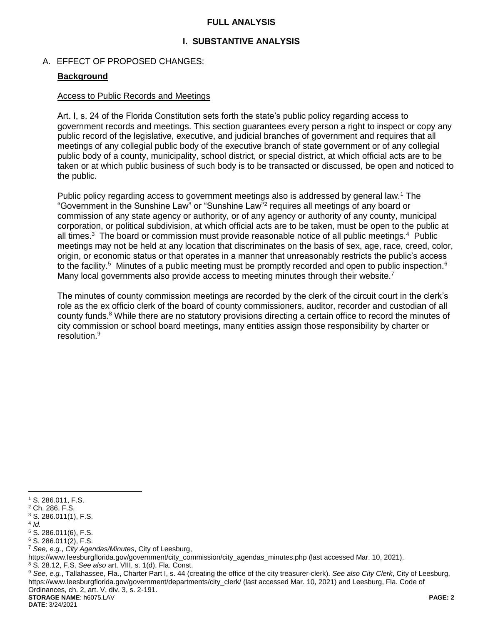#### **FULL ANALYSIS**

## **I. SUBSTANTIVE ANALYSIS**

#### A. EFFECT OF PROPOSED CHANGES:

#### **Background**

#### Access to Public Records and Meetings

Art. I, s. 24 of the Florida Constitution sets forth the state's public policy regarding access to government records and meetings. This section guarantees every person a right to inspect or copy any public record of the legislative, executive, and judicial branches of government and requires that all meetings of any collegial public body of the executive branch of state government or of any collegial public body of a county, municipality, school district, or special district, at which official acts are to be taken or at which public business of such body is to be transacted or discussed, be open and noticed to the public.

Public policy regarding access to government meetings also is addressed by general law.<sup>1</sup> The "Government in the Sunshine Law" or "Sunshine Law"<sup>2</sup> requires all meetings of any board or commission of any state agency or authority, or of any agency or authority of any county, municipal corporation, or political subdivision, at which official acts are to be taken, must be open to the public at all times.<sup>3</sup> The board or commission must provide reasonable notice of all public meetings.<sup>4</sup> Public meetings may not be held at any location that discriminates on the basis of sex, age, race, creed, color, origin, or economic status or that operates in a manner that unreasonably restricts the public's access to the facility.<sup>5</sup> Minutes of a public meeting must be promptly recorded and open to public inspection.<sup>6</sup> Many local governments also provide access to meeting minutes through their website.<sup>7</sup>

The minutes of county commission meetings are recorded by the clerk of the circuit court in the clerk's role as the ex officio clerk of the board of county commissioners, auditor, recorder and custodian of all county funds.<sup>8</sup> While there are no statutory provisions directing a certain office to record the minutes of city commission or school board meetings, many entities assign those responsibility by charter or resolution.<sup>9</sup>

 $\overline{a}$ 

**DATE**: 3/24/2021

<sup>1</sup> S. 286.011, F.S.

<sup>2</sup> Ch. 286, F.S.

<sup>3</sup> S. 286.011(1), F.S.

<sup>4</sup> *Id.*

<sup>5</sup> S. 286.011(6), F.S.

<sup>6</sup> S. 286.011(2), F.S.

<sup>7</sup> *See, e.g.*, *City Agendas/Minutes*, City of Leesburg,

https://www.leesburgflorida.gov/government/city\_commission/city\_agendas\_minutes.php (last accessed Mar. 10, 2021).

<sup>8</sup> S. 28.12, F.S. *See also* art. VIII, s. 1(d), Fla. Const.

<sup>9</sup> *See, e.g.*, Tallahassee, Fla., Charter Part I, s. 44 (creating the office of the city treasurer-clerk). *See also City Clerk*, City of Leesburg, https://www.leesburgflorida.gov/government/departments/city\_clerk/ (last accessed Mar. 10, 2021) and Leesburg, Fla. Code of Ordinances, ch. 2, art. V, div. 3, s. 2-191.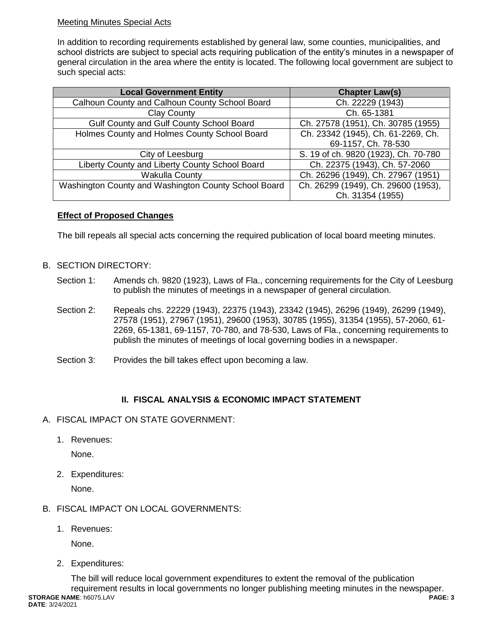## Meeting Minutes Special Acts

In addition to recording requirements established by general law, some counties, municipalities, and school districts are subject to special acts requiring publication of the entity's minutes in a newspaper of general circulation in the area where the entity is located. The following local government are subject to such special acts:

| <b>Local Government Entity</b>                       | <b>Chapter Law(s)</b>                |  |
|------------------------------------------------------|--------------------------------------|--|
| Calhoun County and Calhoun County School Board       | Ch. 22229 (1943)                     |  |
| <b>Clay County</b>                                   | Ch. 65-1381                          |  |
| Gulf County and Gulf County School Board             | Ch. 27578 (1951), Ch. 30785 (1955)   |  |
| Holmes County and Holmes County School Board         | Ch. 23342 (1945), Ch. 61-2269, Ch.   |  |
|                                                      | 69-1157, Ch. 78-530                  |  |
| City of Leesburg                                     | S. 19 of ch. 9820 (1923), Ch. 70-780 |  |
| Liberty County and Liberty County School Board       | Ch. 22375 (1943), Ch. 57-2060        |  |
| <b>Wakulla County</b>                                | Ch. 26296 (1949), Ch. 27967 (1951)   |  |
| Washington County and Washington County School Board | Ch. 26299 (1949), Ch. 29600 (1953),  |  |
|                                                      | Ch. 31354 (1955)                     |  |

## **Effect of Proposed Changes**

The bill repeals all special acts concerning the required publication of local board meeting minutes.

## B. SECTION DIRECTORY:

- Section 1: Amends ch. 9820 (1923), Laws of Fla., concerning requirements for the City of Leesburg to publish the minutes of meetings in a newspaper of general circulation.
- Section 2: Repeals chs. 22229 (1943), 22375 (1943), 23342 (1945), 26296 (1949), 26299 (1949), 27578 (1951), 27967 (1951), 29600 (1953), 30785 (1955), 31354 (1955), 57-2060, 61- 2269, 65-1381, 69-1157, 70-780, and 78-530, Laws of Fla., concerning requirements to publish the minutes of meetings of local governing bodies in a newspaper.
- Section 3: Provides the bill takes effect upon becoming a law.

## **II. FISCAL ANALYSIS & ECONOMIC IMPACT STATEMENT**

- A. FISCAL IMPACT ON STATE GOVERNMENT:
	- 1. Revenues:

None.

2. Expenditures:

None.

- B. FISCAL IMPACT ON LOCAL GOVERNMENTS:
	- 1. Revenues:

None.

2. Expenditures:

**STORAGE NAME**: h6075.LAV **PAGE: 3 DATE**: 3/24/2021 The bill will reduce local government expenditures to extent the removal of the publication requirement results in local governments no longer publishing meeting minutes in the newspaper.